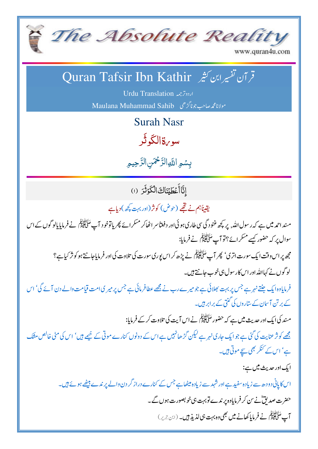

## www.quran4u.com

## قر آن تفسيرابن كثير Quran Tafsir Ibn Kathir

اردوترجمه Urdu Translation Maulana Muhammad Sahib مولانامجمه صاحب جونا گڑھی

**Surah Nasr** 

سو، قالگ<sup>ا</sup>ڭي

بسُمِ اللَّهِ الرَّحْمَنِ الرَّحِيمِ

إِنَّاأَعۡطَيۡنَاكَ الۡكَوۡثَرَ (١)

يقيناً ہم نے تھے (حوض) کوثر(اور بہت کچھ) دیاہے

مىند احمد ميں ہے كہ رسول اللہ, پر كچھ غنود گى سى طارى ہوئى اور دفعتاً سر اٹھاكر مسكرائے پھر ياتوخود آپ عَنَاتِيْئِلْمَ نے فرمايايالوگوں كے اس سوال پر کہ حضور کیسے مسکر ائے؟تو آپ سَلَّاتَیْنَہِ ۖ نے فرمایا:

مجھ پر اس وقت ایک سورت اتری' پھِر آپ سَأَلِقَّ ئِمِّل نے پڑھ کر اس پوری سورت کی تلاوت کی اور فرمایاجانتے ہو کو نژ کیاہے؟ لوگوں نے کہااللہ اور اس کارسول ہی خوب جانتے ہیں۔

فرمایاوہ ایک جنتے نہر ہے جس پر بہت بھلائی ہے جو میرے رب نے مجھے عطافرمائی ہے جس پر میر ی امت قیامت والے دن آئے گی' اس کے بر تن آسان کے ساروں کی گنتی کے برابر ہیں۔

مسند کی ایک اور حدیث میں ہے کہ حضور سَلَّا تَبَیِّمۡ نے اس آیت کی تلاوت کرکے فرمایا:

مجھے کو نژ عنایت کی گئی ہے جو ایک جاری نہر ہے لیکن گڑھانہیں ہے اس کے دونوں کنارے موتی کے خیمے ہیں' اس کی مٹی خالص منتک ہے' اس کے کنگر بھی سچے موتی ہیں۔

ایک اور حدیث میں ہے:

اس کاپانی دودھ سے زیادہ سفید ہے اور شہد سے زیادہ میٹھاہے جس کے کنارے دراز گر دن والے پر ندے بیٹھے ہوئے ہیں۔ حضرت صدیقؓ نے س کر فرمایادہ پر ندے توبہت ہی خوبصورت ہوں گے۔ آپ عَلَىٰٓ تَبَيِّنُوۡۖ نَے فَرِمایا کھانے میں بھی وہ بہت ہی لذیذ ہیں۔ (ابْنِ ج<sub>َسُ</sub>ر)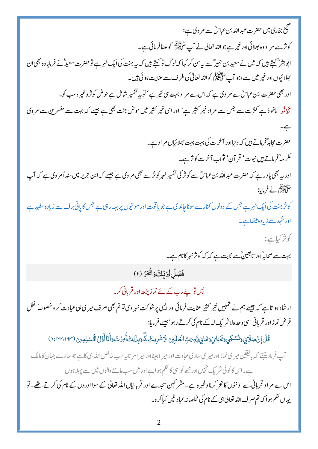| صحیح بخاری میں حضرت <i>عبد</i> اللہ بن عباسؓ سے مر وی ہے:                                                                                                                                                                                     |
|-----------------------------------------------------------------------------------------------------------------------------------------------------------------------------------------------------------------------------------------------|
| کونژسے مر ادوہ بھلائی اور خیر ہے جواللہ تعالٰی نے آپ <sup>عَ</sup> لَاَتَیْنَہُمْ کوعطافرمائی ہے۔                                                                                                                                             |
| ابوبشر پھر ہے۔ ہیں کہ میں نے سعید بن جبیر ؓسے بیہ س کر کہا کہ لوگ تو کہتے ہیں کہ بیہ جنت کی ایک نہر ہے تو حضرت سعید ؓ نے فرمایاوہ بھی ان                                                                                                      |
| بھلا ئیوں اور خیر میں سے ہ جو آپ سَنَگَاتَیٰٓئِیۡکُم کواللّٰہ تعالٰی کی طرف سے عنایت ہو ئی ہیں۔<br>'                                                                                                                                          |
| اور بھی حضرت ابن عباسؓ سے مر وی ہے کہ اس سے مر اد بہت سی خیر ہے ' تو بیر تفسیر شامل ہے حوض کو تز وغیر ہ سب کو۔                                                                                                                                |
| کڈ ٹو ماخوذ ہے کثرت سے جس سے مراد خیر کثیر ہے' اور اسی خیر کثیر میں حوض جنت بھی ہے جیسے کہ بہت سے مفسرین سے مروی                                                                                                                              |
|                                                                                                                                                                                                                                               |
| حضرت مجاہد ؒفرماتے ہیں کہ دینیااور آخرت کی بہت بہت بھلائیاں مر ادہے۔                                                                                                                                                                          |
| عكرمەتخرماتے ہيں نبوت' قر آن' ثواب آخرت كوثر ہے۔                                                                                                                                                                                              |
| اور ہے بھی یاد رہے کہ حضرت عبد اللہ بن عباسؓ سے کوثر کی تفسیر نہر کوثر سے بھی مر وی ہے جیسے کہ ابن جریر میں سند أمر وی ہے کہ آپ                                                                                                               |
| عَنَّا الْبَيْنَوْ فِي فَرِمايا:                                                                                                                                                                                                              |
| کو ژجنت کی ایک نہر ہے جس کے دونوں کنارے سوناچاندی ہے جو یا قوت اور مو تیوں پر بہہ رہی ہے جس کا پانی برف سے زیادہ سفید ہے                                                                                                                      |
| اور شہد سے زیادہ میٹھاہے۔                                                                                                                                                                                                                     |
| کونژ کیاہے:                                                                                                                                                                                                                                   |
|                                                                                                                                                                                                                                               |
| بہت سے صحابہ ؓاور تابعینؓسے ثابت ہے کہ کہ کو تزنہر کانام ہے۔                                                                                                                                                                                  |
| فَصَلِّلِرَبِّكَوَانَكَرَ (٢)                                                                                                                                                                                                                 |
| یں تواپنے رب کے لئے نماز پڑھ اور قربانی کر۔                                                                                                                                                                                                   |
|                                                                                                                                                                                                                                               |
| ار شاد ہو تا ہے کہ جیسے ہم نے حمہمیں خیر <sup>ک</sup> ثیر عنایت فرمائی اور ای <sub>ک</sub> پر شوکت نہر دی تو تم بھی صرف میر <sub>کی ن</sub> ی عبادت کر و خصوصاً لفل<br>فرض نمازاور قربانی اسی وحدہ لاشر یک لہ کے نام کی کرتے رہو'جیسے فرمایا: |
| قُلْ إِنَّ صَلَاتٍي وَنُسُكِي وَنَحْيَايَ وَمَمَاتِي لِلَّهِ رَبِّ الْعَالَمِينَ لَاشَرِيكَ لَةٌ وَبِذَلِكَ أُمِرَتُ وَأَنَا أَوَّلُ الْمُسْلِمِينَ (١٦٢،١٦٢،١٣)                                                                              |
| آپ فرمادییچئے کہ بالیقین میری نماز اور میری ساریءبادت اور میر اجینااور میر امر ناپیہ سب خالص اللہ بی کا ہے جو سارے جہان کامالک                                                                                                                |
| ہے۔اس کا کوئی شر یک نہیں اور مجھ کواسی کا حکم ہوا ہے اور میں سب ماننے والوں میں سے پہلا ہوں                                                                                                                                                   |
| اس سے مر اد قربانی سے اونٹوں کا نحر کرناوغیرہ ہے۔مشر کبین سجدے اور قربانیاں اللہ تعالیٰ کے سوااوروں کے نام کی کرتے تھے۔تو                                                                                                                     |
| یہاں تھم ہوا کہ تم صرف اللہ تعالیٰ ہی کے نام کی مخلصانہ عباد تیں کیاکرو۔                                                                                                                                                                      |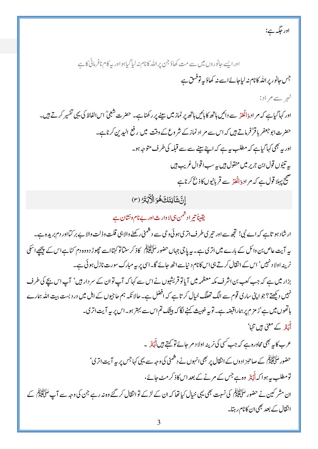اور جگہ ہے:

اور ایسے جانوروں میں سے مت کھاؤ جن پر اللہ کانام نہ لیا گیاہواور بہ کام نافرمانی کا ہے جس جانور پر الله کانام نہ لیاجائے اسے نہ کھاؤ بہ توفس ہے نہم سے م اد:

اور کہا گیاہے کہ مر اد<sub>ف</sub>انْحَدٌ سے دائیں ہاتھ کا بائیں ہاتھ پر نماز میں سینے پر رکھناہے۔ حضرت شعبیؒ اس الفاظ کی یہی تفسیر کرتے ہیں۔ حضرت ابو جعفر باقرٌفرماتے ہیں کہ اس سے مر اد نماز کے شر وع کے وقت میں رفع الیدِ ین کرناہے۔ اور یہ بھی کہاگیاہے کہ مطلب ہیے کہ اپنے سینے سے سے قبلہ کی طرف متوجہ ہو۔ بېرتنيوں قول <sub>ابن</sub> جرير ميں منقول *ہيں بہ س*ب اقوال غريب ہيں صحیح پہلا قول ہے کہ مر اددَانْحَدٌ سے قربانیوں کاذ نح کرناہے

إِنَّ شَانِئَكَ هُوَ الْأَبْتَرُ (٣)

یقیناً تیر ادشمن ہی لاوارث اور بے نام ونشان ہے

ار شاد ہو تاہے کہ اے نبی! تجھ سے اور تیری طرف اتری ہوئی د حی سے دشمنی رکھنے والا ہی قلت وذلت والا بے بر کتااور دم برید ہ ہے۔ بیہ آیت عاص بن وائل کے بارے میں اتری ہے۔ یہ پاجی جہاں حضور عَنَّاتِیْنِجُ کاذ کر سنناتو کہتااسے حچھوڑ دووہ دم کٹاہے اس کے پیچھے اسکی نرینہ اولاد نہیں' اس کے انقال کرتے ہی اس کانام دنیاسے اٹھ جائے گا۔اسی پر بیہ مبارک سورت نازل ہو ئی ہے۔

بزار میں ہے کہ جب کعب بن اشرف مکہ معظمہ میں آپاتو قریشیوں نے اس سے کہا کہ آپ توان کے سر دار ہیں' آپ اس بچے کی طرف نہیں دیکھتے؟ جو اپنی ساری قوم سے الگ تھلگ خیال کر تا ہے کہ افضل ہے۔ حالا نکہ ہم حاجیوں کے اہل میں در دبست بیت الله ہمارے ہاتھوں میں ہے'ز مز م پر ہماراقبضہ ہے۔ تو بہ خیبیث کہنے لگا کہ بیٹنگ تم اس سے بہتر ہو۔اس پر بہ آیت اتر کی۔ أَنْتَدَ کے معنی ہیں تنہا'

عرب کاپہ بھی محاورہ ہے کہ جب کسی کی نرینہ اولا د مر جائے تو کہتے ہیں أَجۡتَد ۔ حضور سَلَّ الْبَيْنَ كَے صاحبز ادوں كے انتقال پر بھى انہوں نے د شمنى كى وجہ سے يہى كہاجس پر ہيہ آيت اترى' تومطلب بیہ ہوا کہ اَنْہَوَ وہ ہے جس کے مرنے کے بعد اس کاذ کر مٹ جائے، ان مشر کین نے حضور سَلَ تَیْنِزُ کی نسبت بھی یہی خیال کیا تھا کہ ان کے لڑکے توانتقال کر گئے وہ نہ رہے جن کی وجہ سے آپ سَلَقَیْنِجُ کے انقال کے بعد بھی ان کانام رہتا۔